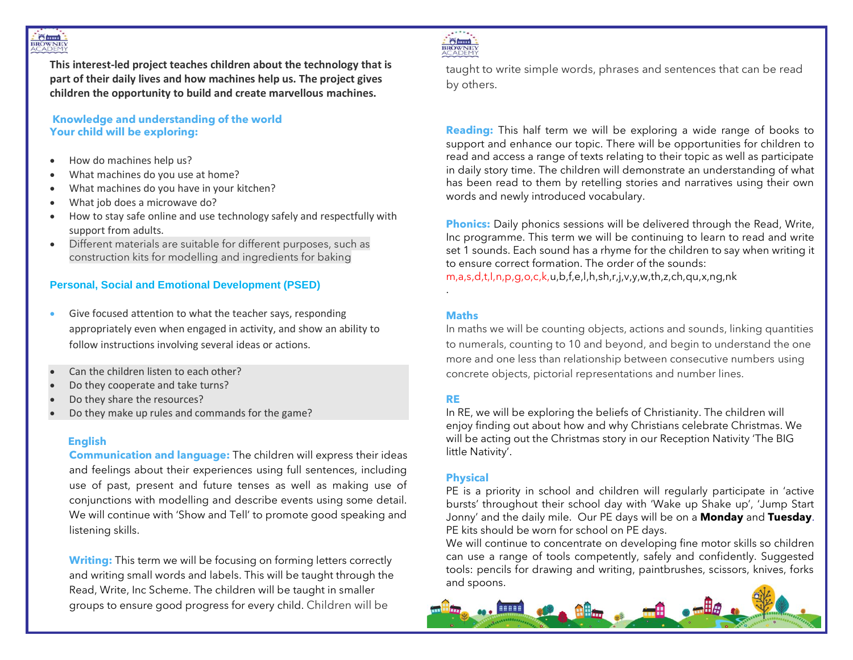

**This interest-led project teaches children about the technology that is part of their daily lives and how machines help us. The project gives children the opportunity to build and create marvellous machines.**

**Knowledge and understanding of the world Your child will be exploring:**

- How do machines help us?
- What machines do you use at home?
- What machines do you have in your kitchen?
- What job does a microwave do?
- How to stay safe online and use technology safely and respectfully with support from adults.
- Different materials are suitable for different purposes, such as construction kits for modelling and ingredients for baking

### **Personal, Social and Emotional Development (PSED)**

- Give focused attention to what the teacher says, responding appropriately even when engaged in activity, and show an ability to follow instructions involving several ideas or actions.
- Can the children listen to each other?
- Do they cooperate and take turns?
- Do they share the resources?
- Do they make up rules and commands for the game?

#### **English**

**Communication and language:** The children will express their ideas and feelings about their experiences using full sentences, including use of past, present and future tenses as well as making use of conjunctions with modelling and describe events using some detail. We will continue with 'Show and Tell' to promote good speaking and listening skills.

**Writing:** This term we will be focusing on forming letters correctly and writing small words and labels. This will be taught through the Read, Write, Inc Scheme. The children will be taught in smaller groups to ensure good progress for every child. Children will be



taught to write simple words, phrases and sentences that can be read by others.

**Reading:** This half term we will be exploring a wide range of books to support and enhance our topic. There will be opportunities for children to read and access a range of texts relating to their topic as well as participate in daily story time. The children will demonstrate an understanding of what has been read to them by retelling stories and narratives using their own words and newly introduced vocabulary.

**Phonics:** Daily phonics sessions will be delivered through the Read, Write, Inc programme. This term we will be continuing to learn to read and write set 1 sounds. Each sound has a rhyme for the children to say when writing it to ensure correct formation. The order of the sounds: m,a,s,d,t,I,n,p,g,o,c,k,u,b,f,e,l,h,sh,r,j,v,y,w,th,z,ch,qu,x,ng,nk

#### **Maths**

.

In maths we will be counting objects, actions and sounds, linking quantities to numerals, counting to 10 and beyond, and begin to understand the one more and one less than relationship between consecutive numbers using concrete objects, pictorial representations and number lines.

#### **RE**

In RE, we will be exploring the beliefs of Christianity. The children will enjoy finding out about how and why Christians celebrate Christmas. We will be acting out the Christmas story in our Reception Nativity 'The BIG little Nativity'.

#### **Physical**

PE is a priority in school and children will regularly participate in 'active bursts' throughout their school day with 'Wake up Shake up', 'Jump Start Jonny' and the daily mile. Our PE days will be on a **Monday** and **Tuesday**. PE kits should be worn for school on PE days.

We will continue to concentrate on developing fine motor skills so children can use a range of tools competently, safely and confidently. Suggested tools: pencils for drawing and writing, paintbrushes, scissors, knives, forks and spoons.

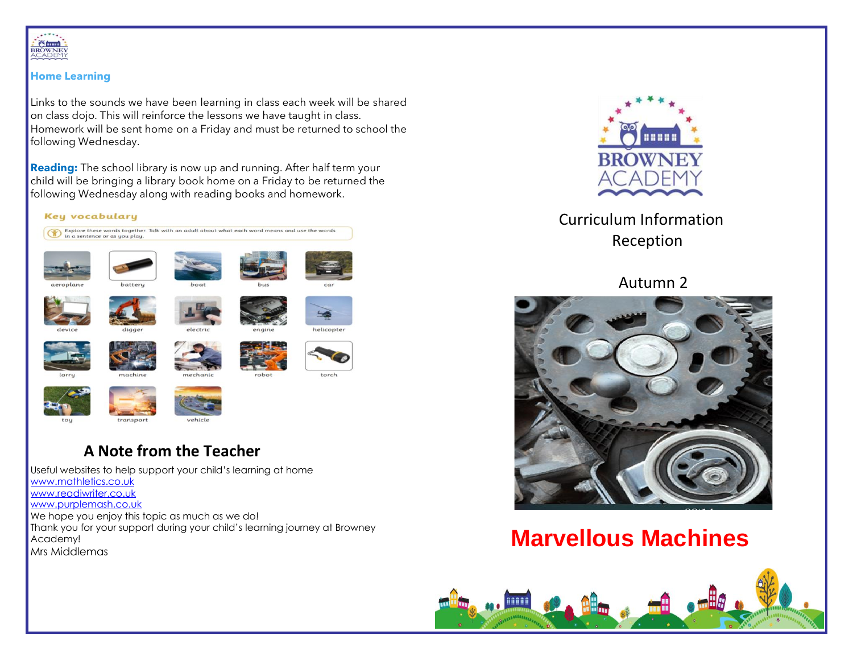

### **Home Learning**

Links to the sounds we have been learning in class each week will be shared on class dojo. This will reinforce the lessons we have taught in class. Homework will be sent home on a Friday and must be returned to school the following Wednesday.

**Reading:** The school library is now up and running. After half term your child will be bringing a library book home on a Friday to be returned the following Wednesday along with reading books and homework.

#### **Key vocabulary**



## **A Note from the Teacher**

Useful websites to help support your child's learning at home

[www.mathletics.co.uk](http://www.mathletics.co.uk/)

[www.readiwriter.co.uk](http://www.readiwriter.co.uk/)

[www.purplemash.co.uk](http://www.purplemash.co.uk/)

We hope you enjoy this topic as much as we do!

Thank you for your support during your child's learning journey at Browney Academy!

Mrs Middlemas



 Curriculum Information Reception

Autumn 2



# **Marvellous Machines**

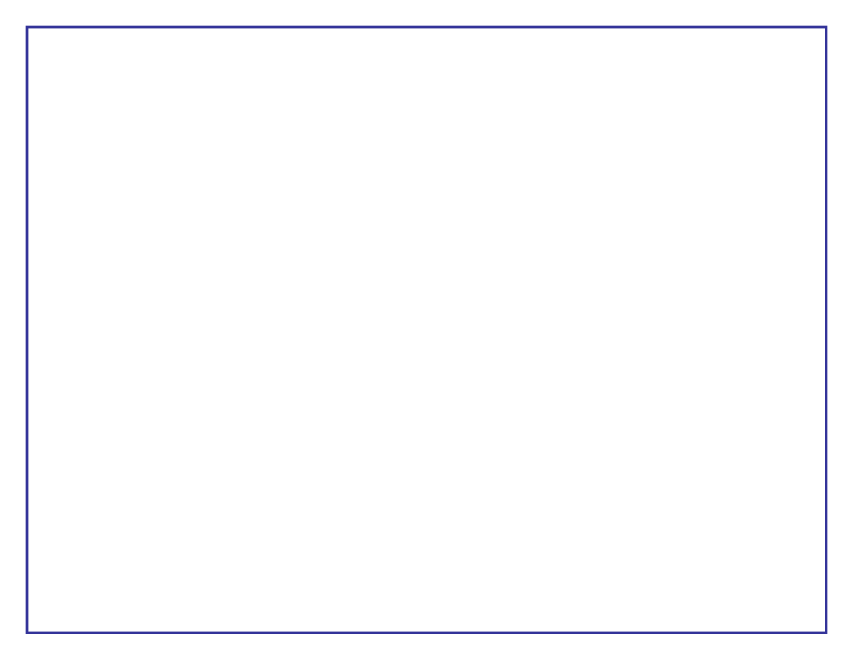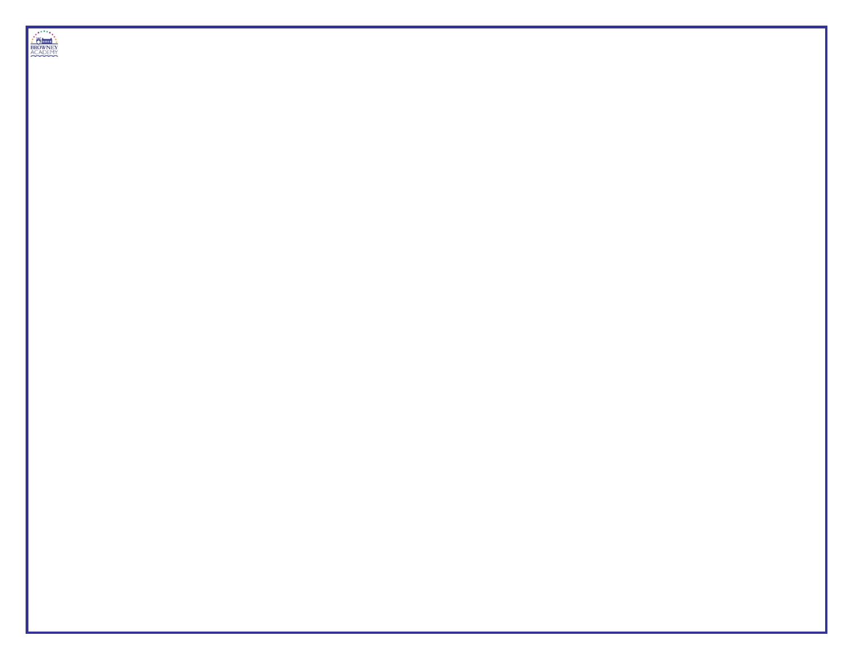